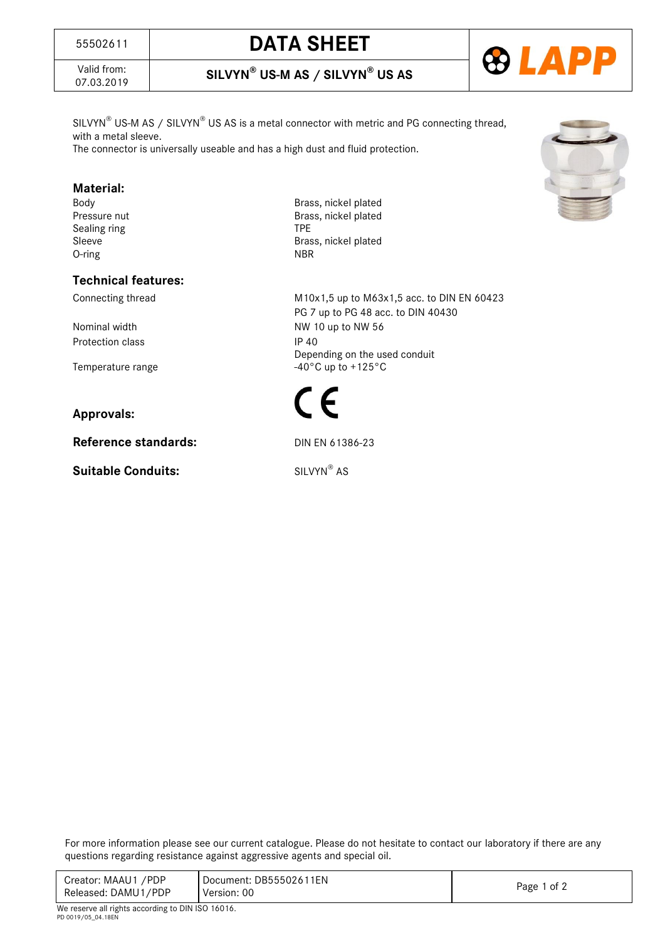# <sup>55502611</sup> **DATA SHEET**



# 07.03.2019 **SILVYN® US-M AS / SILVYN® US AS**



 $SLVYN^{\circ}$  US-M AS / SILVYN $^{\circ}$  US AS is a metal connector with metric and PG connecting thread, with a metal sleeve.

The connector is universally useable and has a high dust and fluid protection.

#### **Material:**

Sealing ring TPE O-ring

#### **Technical features:**

Protection class IP 40

### **Approvals:**

**Reference standards:** DIN EN 61386-23

**Suitable Conduits:** 

Body Brass, nickel plated Pressure nut **Brass**, nickel plated Sleeve Brass, nickel plated<br>
O-ring<br>
O-ring

Connecting thread M10x1,5 up to M63x1,5 acc. to DIN EN 60423 PG 7 up to PG 48 acc. to DIN 40430 Nominal width NW 10 up to NW 56 Depending on the used conduit Temperature range  $-40^{\circ}$ C up to +125°C



SILVYN® AS

For more information please see our current catalogue. Please do not hesitate to contact our laboratory if there are any questions regarding resistance against aggressive agents and special oil.

| 1 of 2 |
|--------|
|        |